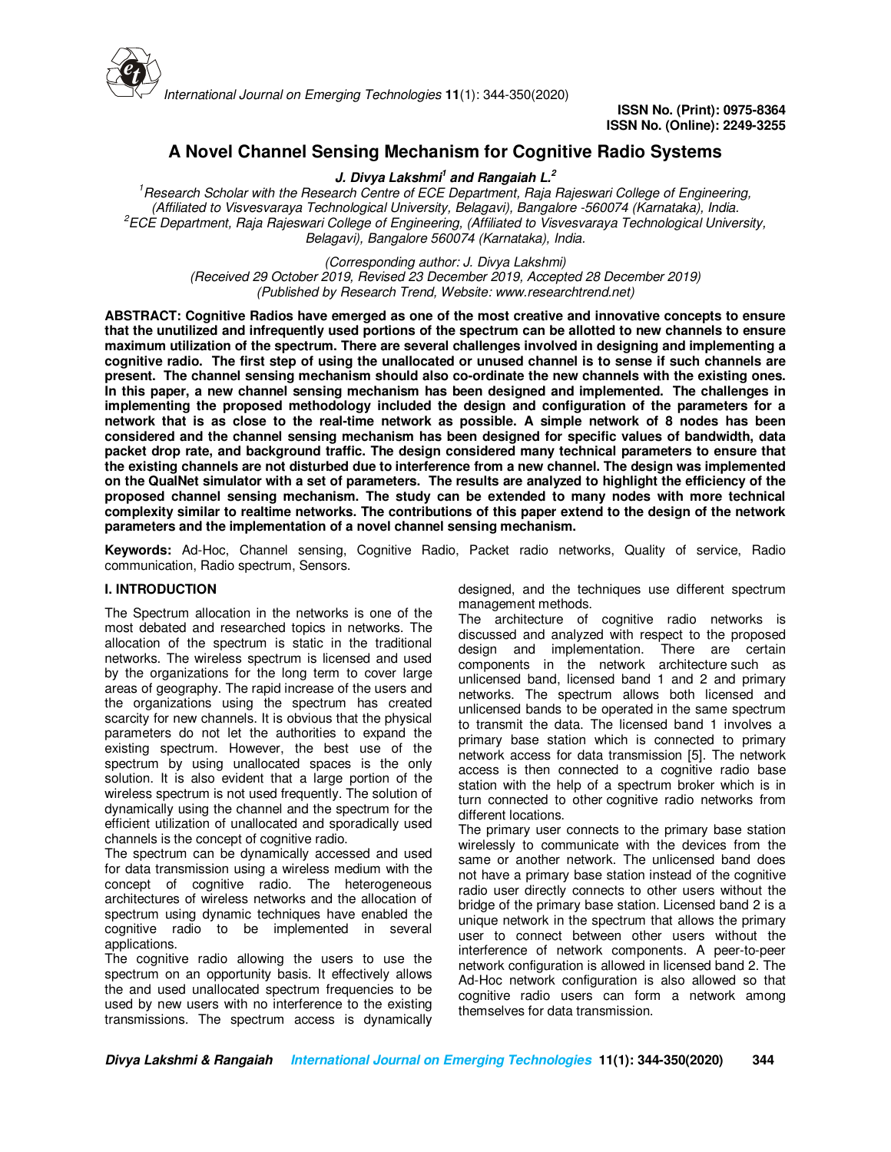

# **A Novel Channel Sensing Mechanism for Cognitive Radio Systems**

**J. Divya Lakshmi<sup>1</sup> and Rangaiah L.<sup>2</sup>**

*<sup>1</sup>Research Scholar with the Research Centre of ECE Department, Raja Rajeswari College of Engineering, (Affiliated to Visvesvaraya Technological University, Belagavi), Bangalore -560074 (Karnataka), India. <sup>2</sup>ECE Department, Raja Rajeswari College of Engineering, (Affiliated to Visvesvaraya Technological University, Belagavi), Bangalore 560074 (Karnataka), India.*

*(Corresponding author: J. Divya Lakshmi)*

*(Received 29 October 2019, Revised 23 December 2019, Accepted 28 December 2019) (Published by Research Trend, Website: www.researchtrend.net)*

**ABSTRACT: Cognitive Radios have emerged as one of the most creative and innovative concepts to ensure that the unutilized and infrequently used portions of the spectrum can be allotted to new channels to ensure maximum utilization of the spectrum. There are several challenges involved in designing and implementing a cognitive radio. The first step of using the unallocated or unused channel is to sense if such channels are present. The channel sensing mechanism should also co-ordinate the new channels with the existing ones. In this paper, a new channel sensing mechanism has been designed and implemented. The challenges in implementing the proposed methodology included the design and configuration of the parameters for a network that is as close to the real-time network as possible. A simple network of 8 nodes has been considered and the channel sensing mechanism has been designed for specific values of bandwidth, data packet drop rate, and background traffic. The design considered many technical parameters to ensure that the existing channels are not disturbed due to interference from a new channel. The design was implemented on the QualNet simulator with a set of parameters. The results are analyzed to highlight the efficiency of the proposed channel sensing mechanism. The study can be extended to many nodes with more technical complexity similar to realtime networks. The contributions of this paper extend to the design of the network parameters and the implementation of a novel channel sensing mechanism.** 

**Keywords:** Ad-Hoc, Channel sensing, Cognitive Radio, Packet radio networks, Quality of service, Radio communication, Radio spectrum, Sensors.

## **I. INTRODUCTION**

The Spectrum allocation in the networks is one of the most debated and researched topics in networks. The allocation of the spectrum is static in the traditional networks. The wireless spectrum is licensed and used by the organizations for the long term to cover large areas of geography. The rapid increase of the users and the organizations using the spectrum has created scarcity for new channels. It is obvious that the physical parameters do not let the authorities to expand the existing spectrum. However, the best use of the spectrum by using unallocated spaces is the only solution. It is also evident that a large portion of the wireless spectrum is not used frequently. The solution of dynamically using the channel and the spectrum for the efficient utilization of unallocated and sporadically used channels is the concept of cognitive radio.

The spectrum can be dynamically accessed and used for data transmission using a wireless medium with the concept of cognitive radio. The heterogeneous architectures of wireless networks and the allocation of spectrum using dynamic techniques have enabled the cognitive radio to be implemented in several applications.

The cognitive radio allowing the users to use the spectrum on an opportunity basis. It effectively allows the and used unallocated spectrum frequencies to be used by new users with no interference to the existing transmissions. The spectrum access is dynamically designed, and the techniques use different spectrum management methods.

The architecture of cognitive radio networks is discussed and analyzed with respect to the proposed design and implementation. There are certain components in the network architecture such as unlicensed band, licensed band 1 and 2 and primary networks. The spectrum allows both licensed and unlicensed bands to be operated in the same spectrum to transmit the data. The licensed band 1 involves a primary base station which is connected to primary network access for data transmission [5]. The network access is then connected to a cognitive radio base station with the help of a spectrum broker which is in turn connected to other cognitive radio networks from different locations.

The primary user connects to the primary base station wirelessly to communicate with the devices from the same or another network. The unlicensed band does not have a primary base station instead of the cognitive radio user directly connects to other users without the bridge of the primary base station. Licensed band 2 is a unique network in the spectrum that allows the primary user to connect between other users without the interference of network components. A peer-to-peer network configuration is allowed in licensed band 2. The Ad-Hoc network configuration is also allowed so that cognitive radio users can form a network among themselves for data transmission.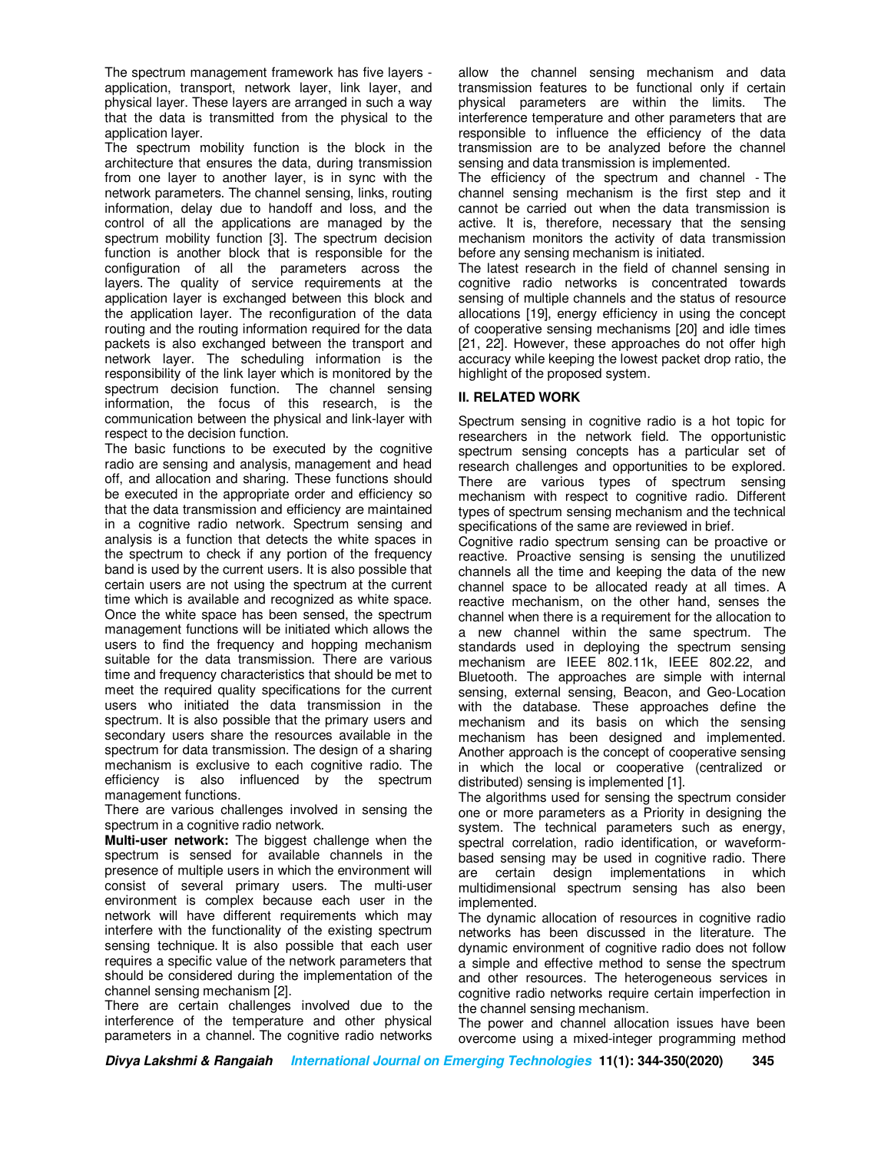The spectrum management framework has five layers application, transport, network layer, link layer, and physical layer. These layers are arranged in such a way that the data is transmitted from the physical to the application layer.

The spectrum mobility function is the block in the architecture that ensures the data, during transmission from one layer to another layer, is in sync with the network parameters. The channel sensing, links, routing information, delay due to handoff and loss, and the control of all the applications are managed by the spectrum mobility function [3]. The spectrum decision function is another block that is responsible for the configuration of all the parameters across the layers. The quality of service requirements at the application layer is exchanged between this block and the application layer. The reconfiguration of the data routing and the routing information required for the data packets is also exchanged between the transport and network layer. The scheduling information is the responsibility of the link layer which is monitored by the spectrum decision function. The channel sensing information, the focus of this research, is the communication between the physical and link-layer with respect to the decision function.

The basic functions to be executed by the cognitive radio are sensing and analysis, management and head off, and allocation and sharing. These functions should be executed in the appropriate order and efficiency so that the data transmission and efficiency are maintained in a cognitive radio network. Spectrum sensing and analysis is a function that detects the white spaces in the spectrum to check if any portion of the frequency band is used by the current users. It is also possible that certain users are not using the spectrum at the current time which is available and recognized as white space. Once the white space has been sensed, the spectrum management functions will be initiated which allows the users to find the frequency and hopping mechanism suitable for the data transmission. There are various time and frequency characteristics that should be met to meet the required quality specifications for the current users who initiated the data transmission in the spectrum. It is also possible that the primary users and secondary users share the resources available in the spectrum for data transmission. The design of a sharing mechanism is exclusive to each cognitive radio. The efficiency is also influenced by the spectrum management functions.

There are various challenges involved in sensing the spectrum in a cognitive radio network.

**Multi-user network:** The biggest challenge when the spectrum is sensed for available channels in the presence of multiple users in which the environment will consist of several primary users. The multi-user environment is complex because each user in the network will have different requirements which may interfere with the functionality of the existing spectrum sensing technique. It is also possible that each user requires a specific value of the network parameters that should be considered during the implementation of the channel sensing mechanism [2].

There are certain challenges involved due to the interference of the temperature and other physical parameters in a channel. The cognitive radio networks

allow the channel sensing mechanism and data transmission features to be functional only if certain physical parameters are within the limits. The interference temperature and other parameters that are responsible to influence the efficiency of the data transmission are to be analyzed before the channel sensing and data transmission is implemented.

The efficiency of the spectrum and channel - The channel sensing mechanism is the first step and it cannot be carried out when the data transmission is active. It is, therefore, necessary that the sensing mechanism monitors the activity of data transmission before any sensing mechanism is initiated.

The latest research in the field of channel sensing in cognitive radio networks is concentrated towards sensing of multiple channels and the status of resource allocations [19], energy efficiency in using the concept of cooperative sensing mechanisms [20] and idle times [21, 22]. However, these approaches do not offer high accuracy while keeping the lowest packet drop ratio, the highlight of the proposed system.

# **II. RELATED WORK**

Spectrum sensing in cognitive radio is a hot topic for researchers in the network field. The opportunistic spectrum sensing concepts has a particular set of research challenges and opportunities to be explored. There are various types of spectrum sensing mechanism with respect to cognitive radio. Different types of spectrum sensing mechanism and the technical specifications of the same are reviewed in brief.

Cognitive radio spectrum sensing can be proactive or reactive. Proactive sensing is sensing the unutilized channels all the time and keeping the data of the new channel space to be allocated ready at all times. A reactive mechanism, on the other hand, senses the channel when there is a requirement for the allocation to a new channel within the same spectrum. The standards used in deploying the spectrum sensing mechanism are IEEE 802.11k, IEEE 802.22, and Bluetooth. The approaches are simple with internal sensing, external sensing, Beacon, and Geo-Location with the database. These approaches define the mechanism and its basis on which the sensing mechanism has been designed and implemented. Another approach is the concept of cooperative sensing in which the local or cooperative (centralized or distributed) sensing is implemented [1].

The algorithms used for sensing the spectrum consider one or more parameters as a Priority in designing the system. The technical parameters such as energy, spectral correlation, radio identification, or waveformbased sensing may be used in cognitive radio. There are certain design implementations in which multidimensional spectrum sensing has also been implemented.

The dynamic allocation of resources in cognitive radio networks has been discussed in the literature. The dynamic environment of cognitive radio does not follow a simple and effective method to sense the spectrum and other resources. The heterogeneous services in cognitive radio networks require certain imperfection in the channel sensing mechanism.

The power and channel allocation issues have been overcome using a mixed-integer programming method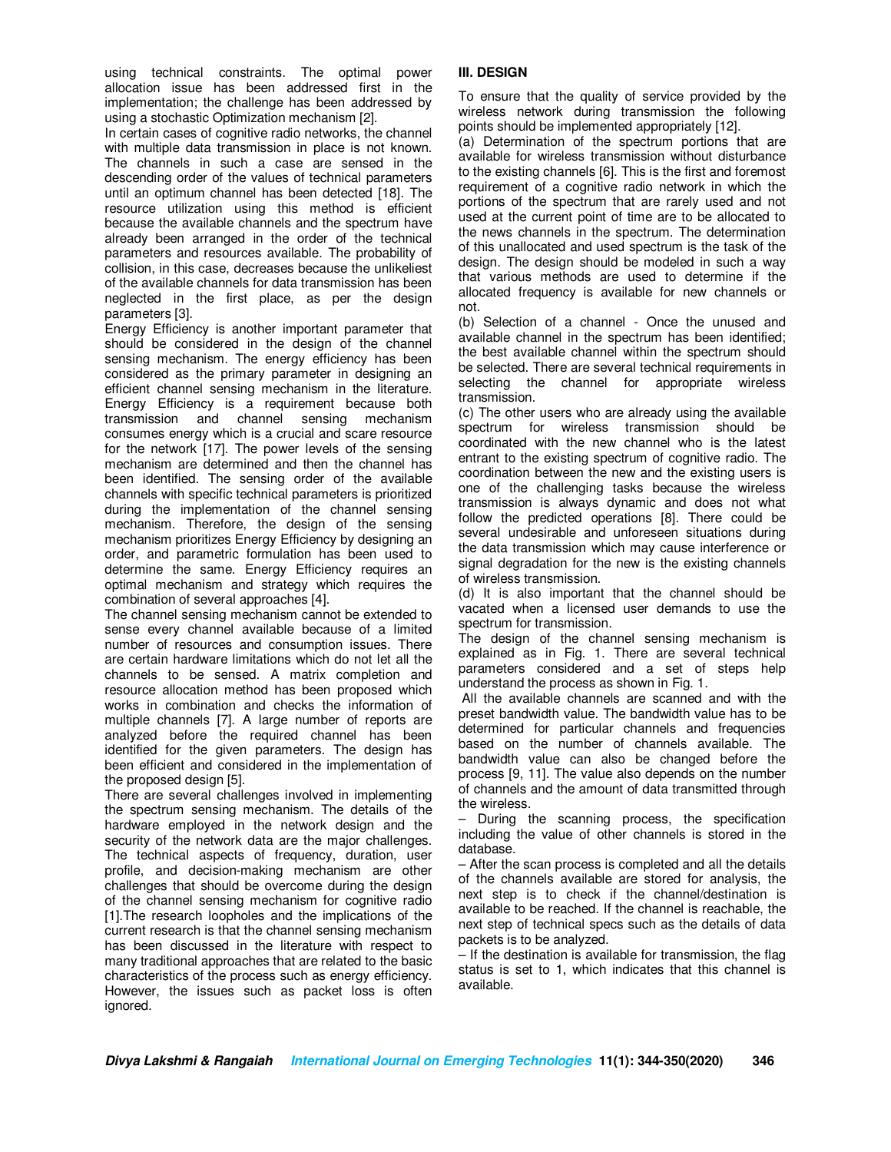using technical constraints. The optimal power allocation issue has been addressed first in the implementation; the challenge has been addressed by using a stochastic Optimization mechanism [2].

In certain cases of cognitive radio networks, the channel with multiple data transmission in place is not known. The channels in such a case are sensed in the descending order of the values of technical parameters until an optimum channel has been detected [18]. The resource utilization using this method is efficient because the available channels and the spectrum have already been arranged in the order of the technical parameters and resources available. The probability of collision, in this case, decreases because the unlikeliest of the available channels for data transmission has been neglected in the first place, as per the design parameters [3].

Energy Efficiency is another important parameter that should be considered in the design of the channel sensing mechanism. The energy efficiency has been considered as the primary parameter in designing an efficient channel sensing mechanism in the literature. Energy Efficiency is a requirement because both transmission and channel sensing mechanism consumes energy which is a crucial and scare resource for the network [17]. The power levels of the sensing mechanism are determined and then the channel has been identified. The sensing order of the available channels with specific technical parameters is prioritized during the implementation of the channel sensing mechanism. Therefore, the design of the sensing mechanism prioritizes Energy Efficiency by designing an order, and parametric formulation has been used to determine the same. Energy Efficiency requires an optimal mechanism and strategy which requires the combination of several approaches [4].

The channel sensing mechanism cannot be extended to sense every channel available because of a limited number of resources and consumption issues. There are certain hardware limitations which do not let all the channels to be sensed. A matrix completion and resource allocation method has been proposed which works in combination and checks the information of multiple channels [7]. A large number of reports are analyzed before the required channel has been identified for the given parameters. The design has been efficient and considered in the implementation of the proposed design [5].

There are several challenges involved in implementing the spectrum sensing mechanism. The details of the hardware employed in the network design and the security of the network data are the major challenges. The technical aspects of frequency, duration, user profile, and decision-making mechanism are other challenges that should be overcome during the design of the channel sensing mechanism for cognitive radio [1].The research loopholes and the implications of the current research is that the channel sensing mechanism has been discussed in the literature with respect to many traditional approaches that are related to the basic characteristics of the process such as energy efficiency. However, the issues such as packet loss is often ignored.

## **III. DESIGN**

To ensure that the quality of service provided by the wireless network during transmission the following points should be implemented appropriately [12].

(a) Determination of the spectrum portions that are available for wireless transmission without disturbance to the existing channels [6]. This is the first and foremost requirement of a cognitive radio network in which the portions of the spectrum that are rarely used and not used at the current point of time are to be allocated to the news channels in the spectrum. The determination of this unallocated and used spectrum is the task of the design. The design should be modeled in such a way that various methods are used to determine if the allocated frequency is available for new channels or not.

(b) Selection of a channel - Once the unused and available channel in the spectrum has been identified; the best available channel within the spectrum should be selected. There are several technical requirements in selecting the channel for appropriate wireless transmission.

(c) The other users who are already using the available spectrum for wireless transmission should be coordinated with the new channel who is the latest entrant to the existing spectrum of cognitive radio. The coordination between the new and the existing users is one of the challenging tasks because the wireless transmission is always dynamic and does not what follow the predicted operations [8]. There could be several undesirable and unforeseen situations during the data transmission which may cause interference or signal degradation for the new is the existing channels of wireless transmission.

(d) It is also important that the channel should be vacated when a licensed user demands to use the spectrum for transmission.

The design of the channel sensing mechanism is explained as in Fig. 1. There are several technical parameters considered and a set of steps help understand the process as shown in Fig. 1.

 All the available channels are scanned and with the preset bandwidth value. The bandwidth value has to be determined for particular channels and frequencies based on the number of channels available. The bandwidth value can also be changed before the process [9, 11]. The value also depends on the number of channels and the amount of data transmitted through the wireless.

– During the scanning process, the specification including the value of other channels is stored in the database.

– After the scan process is completed and all the details of the channels available are stored for analysis, the next step is to check if the channel/destination is available to be reached. If the channel is reachable, the next step of technical specs such as the details of data packets is to be analyzed.

– If the destination is available for transmission, the flag status is set to 1, which indicates that this channel is available.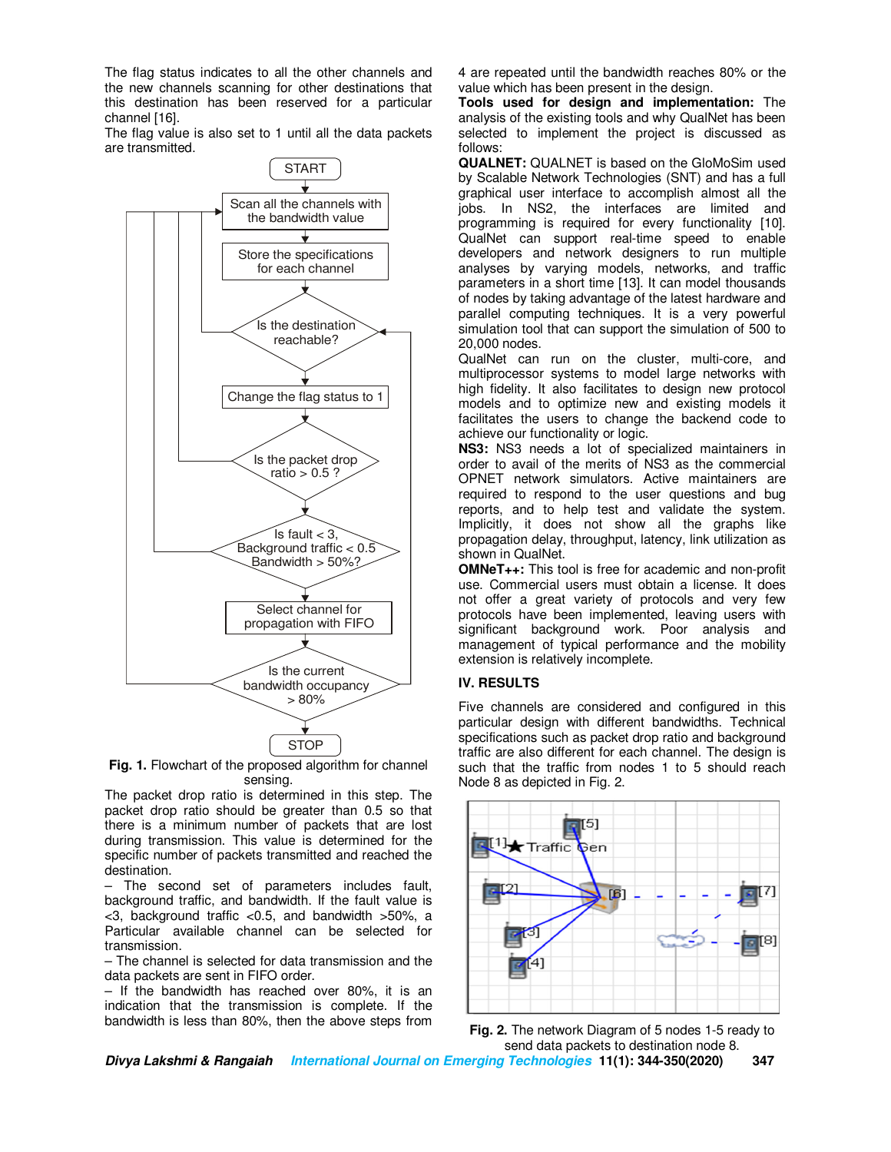The flag status indicates to all the other channels and the new channels scanning for other destinations that this destination has been reserved for a particular channel [16].

The flag value is also set to 1 until all the data packets are transmitted.



**Fig. 1.** Flowchart of the proposed algorithm for channel sensing.

The packet drop ratio is determined in this step. The packet drop ratio should be greater than 0.5 so that there is a minimum number of packets that are lost during transmission. This value is determined for the specific number of packets transmitted and reached the destination.

– The second set of parameters includes fault, background traffic, and bandwidth. If the fault value is <3, background traffic <0.5, and bandwidth >50%, a Particular available channel can be selected for transmission.

– The channel is selected for data transmission and the data packets are sent in FIFO order.

– If the bandwidth has reached over 80%, it is an indication that the transmission is complete. If the bandwidth is less than 80%, then the above steps from

4 are repeated until the bandwidth reaches 80% or the value which has been present in the design.

**Tools used for design and implementation:** The analysis of the existing tools and why QualNet has been selected to implement the project is discussed as follows:

**QUALNET:** QUALNET is based on the GloMoSim used by Scalable Network Technologies (SNT) and has a full graphical user interface to accomplish almost all the jobs. In NS2, the interfaces are limited and programming is required for every functionality [10]. QualNet can support real-time speed to enable developers and network designers to run multiple analyses by varying models, networks, and traffic parameters in a short time [13]. It can model thousands of nodes by taking advantage of the latest hardware and parallel computing techniques. It is a very powerful simulation tool that can support the simulation of 500 to 20,000 nodes.

QualNet can run on the cluster, multi-core, and multiprocessor systems to model large networks with high fidelity. It also facilitates to design new protocol models and to optimize new and existing models it facilitates the users to change the backend code to achieve our functionality or logic.

**NS3:** NS3 needs a lot of specialized maintainers in order to avail of the merits of NS3 as the commercial OPNET network simulators. Active maintainers are required to respond to the user questions and bug reports, and to help test and validate the system. Implicitly, it does not show all the graphs like propagation delay, throughput, latency, link utilization as shown in QualNet.

**OMNeT++:** This tool is free for academic and non-profit use. Commercial users must obtain a license. It does not offer a great variety of protocols and very few protocols have been implemented, leaving users with significant background work. Poor analysis and management of typical performance and the mobility extension is relatively incomplete.

# **IV. RESULTS**

Five channels are considered and configured in this particular design with different bandwidths. Technical specifications such as packet drop ratio and background traffic are also different for each channel. The design is such that the traffic from nodes 1 to 5 should reach Node 8 as depicted in Fig. 2.





**Divya Lakshmi & Rangaiah International Journal on Emerging Technologies 11(1): 344-350(2020) 347**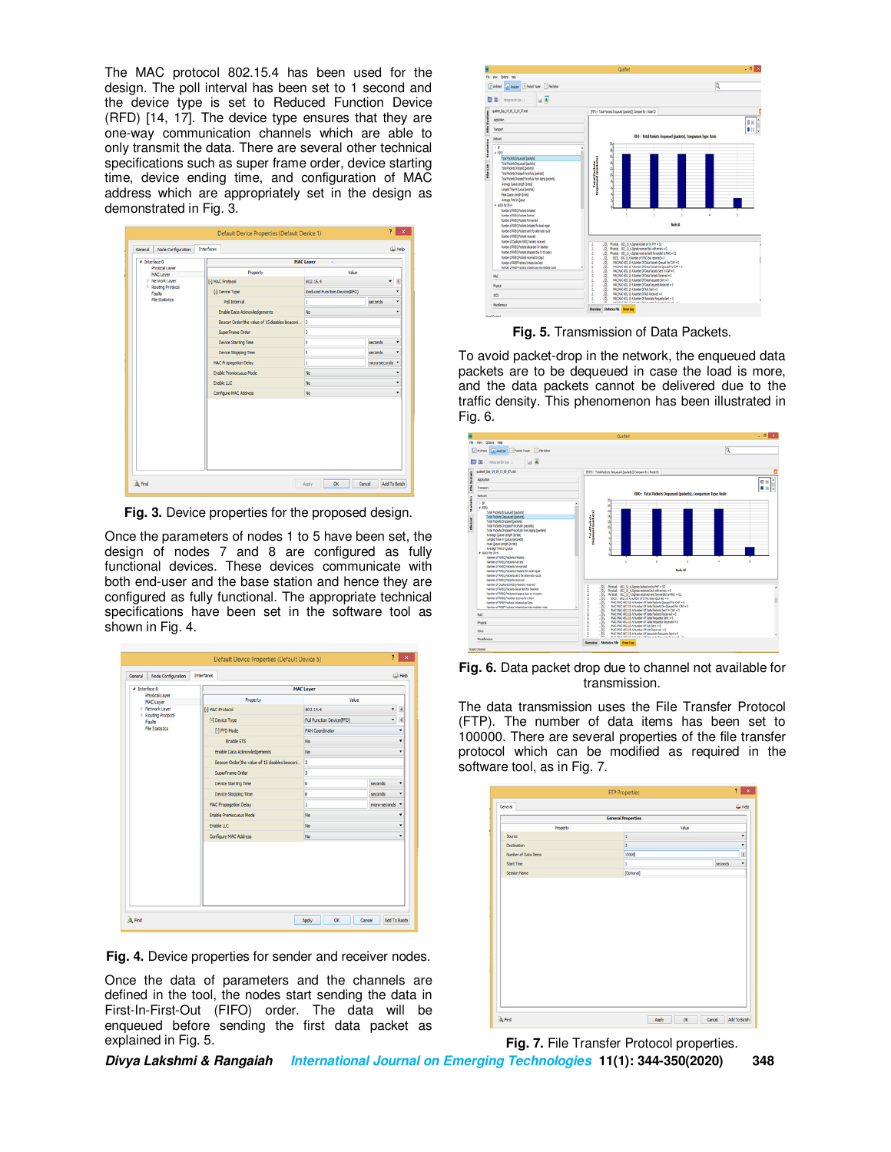The MAC protocol 802.15.4 has been used for the design. The poll interval has been set to 1 second and the device type is set to Reduced Function Device (RFD) [14, 17]. The device type ensures that they are one-way communication channels which are able to only transmit the data. There are several other technical specifications such as super frame order, device starting time, device ending time, and configuration of MAC address which are appropriately set in the design as demonstrated in Fig. 3.

| 4 Interface 0                              |                                                | <b>MAC Layer</b><br>- 1      |                    |  |
|--------------------------------------------|------------------------------------------------|------------------------------|--------------------|--|
| Physical Layer                             | Property                                       | Value                        |                    |  |
| <b>MAC Layer</b><br><b>D</b> Network Layer | [-] MAC Protocol                               | 802.15.4                     | Ø<br>٠             |  |
| Routing Protocol                           | [-] Device Type                                | Reduced Function Device(RFD) | ٠                  |  |
| Faults<br><b>File Statistics</b>           | Poll Interval                                  | 1                            | seconds<br>٠       |  |
|                                            |                                                | <b>No</b>                    | ٠                  |  |
|                                            | Enable Data Admowledgements                    |                              |                    |  |
|                                            | Beacon Order (the value of 15 disables beaconi | 3                            |                    |  |
|                                            | SuperFrame Order                               | 3                            |                    |  |
|                                            | Device Starting Time                           | o                            | seconds<br>٠       |  |
|                                            | Device Stopping Time                           | o                            | seconds<br>٠       |  |
|                                            | MAC Propagation Delay                          | 1                            | micro-seconds<br>۰ |  |
|                                            | Enable Promiscuous Mode                        | No                           |                    |  |
|                                            | Enable LLC                                     | No.                          | ٠                  |  |
|                                            | Configure MAC Address                          | <b>No</b>                    | ٠                  |  |
|                                            |                                                |                              |                    |  |

**Fig. 3.** Device properties for the proposed design.

Once the parameters of nodes 1 to 5 have been set, the design of nodes 7 and 8 are configured as fully functional devices. These devices communicate with both end-user and the base station and hence they are configured as fully functional. The appropriate technical specifications have been set in the software tool as shown in Fig. 4.

| General                                    | Node Configuration | Interfaces |                                               |                           |                          | LLI Help       |
|--------------------------------------------|--------------------|------------|-----------------------------------------------|---------------------------|--------------------------|----------------|
| 4 Interface 0                              |                    |            |                                               | <b>MAC Layer</b>          |                          |                |
| Physical Layer<br><b>MAC Layer</b>         |                    |            | Property                                      | Value                     |                          |                |
| <b>D</b> Network Layer<br>Routing Protocol |                    |            | [-] MAC Protocol                              | 802.15.4                  | ٠                        | $\overline{4}$ |
| Faults                                     |                    |            | [-] Device Type                               | Full Function Device(FFD) | $\overline{\phantom{a}}$ | O              |
| <b>File Statistics</b>                     |                    |            | [-] FFD Mode                                  | <b>PAN Coordinator</b>    |                          | ٠              |
|                                            |                    |            | <b>Enable GTS</b>                             | <b>No</b>                 |                          | ۰              |
|                                            |                    |            | Enable Data Admowledgements                   | <b>No</b>                 |                          | ٠              |
|                                            |                    |            | Beacon Order(the value of 15 disables beacon) | $\vert$ <sub>3</sub>      |                          |                |
|                                            |                    |            | SuperFrame Order                              | 3                         |                          |                |
|                                            |                    |            | Device Starting Time                          | ۱o                        | seconds                  | ٠              |
|                                            |                    |            | Device Stopping Time                          | lo                        | seconds                  | ٠              |
|                                            |                    |            | MAC Propagation Delay                         | ı                         | micro-seconds v          |                |
|                                            |                    |            | <b>Enable Promiscuous Mode</b>                | <b>No</b>                 |                          | ۰              |
|                                            |                    |            | Enable LLC                                    | <b>No</b>                 |                          | ٠              |
|                                            |                    |            | Configure MAC Address                         | No                        |                          | ٠              |
|                                            |                    |            |                                               |                           |                          |                |

**Fig. 4.** Device properties for sender and receiver nodes.

Once the data of parameters and the channels are defined in the tool, the nodes start sending the data in First-In-First-Out (FIFO) order. The data will be enqueued before sending the first data packet as explained in Fig. 5.



**Fig. 5.** Transmission of Data Packets.

To avoid packet-drop in the network, the enqueued data packets are to be dequeued in case the load is more, and the data packets cannot be delivered due to the traffic density. This phenomenon has been illustrated in Fig. 6.



**Fig. 6.** Data packet drop due to channel not available for transmission.

The data transmission uses the File Transfer Protocol (FTP). The number of data items has been set to 100000. There are several properties of the file transfer protocol which can be modified as required in the software tool, as in Fig. 7.

| Value<br>Property<br>1<br>Source<br>$\overline{2}$<br>Destination<br>10000<br>Number of Data Items<br>seconds<br><b>Start Time</b><br>1<br>[Optional]<br><b>Session Name</b> | <b>General Properties</b> |  |
|------------------------------------------------------------------------------------------------------------------------------------------------------------------------------|---------------------------|--|
|                                                                                                                                                                              |                           |  |
|                                                                                                                                                                              |                           |  |
|                                                                                                                                                                              |                           |  |
|                                                                                                                                                                              |                           |  |
|                                                                                                                                                                              |                           |  |
|                                                                                                                                                                              |                           |  |
|                                                                                                                                                                              |                           |  |



**Divya Lakshmi & Rangaiah International Journal on Emerging Technologies 11(1): 344-350(2020) 348**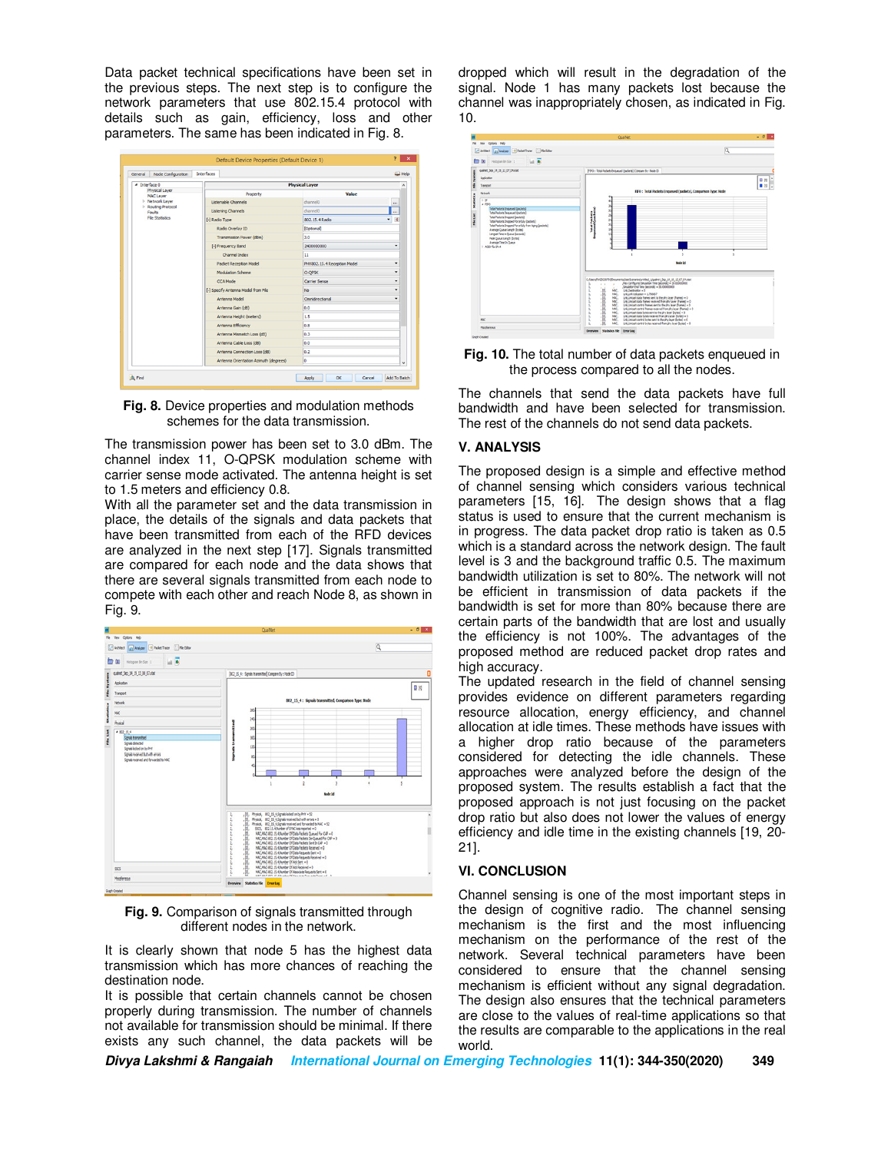Data packet technical specifications have been set in the previous steps. The next step is to configure the network parameters that use 802.15.4 protocol with details such as gain, efficiency, loss and other parameters. The same has been indicated in Fig. 8.



**Fig. 8.** Device properties and modulation methods schemes for the data transmission.

The transmission power has been set to 3.0 dBm. The channel index 11, O-QPSK modulation scheme with carrier sense mode activated. The antenna height is set to 1.5 meters and efficiency 0.8.

With all the parameter set and the data transmission in place, the details of the signals and data packets that have been transmitted from each of the RFD devices are analyzed in the next step [17]. Signals transmitted are compared for each node and the data shows that there are several signals transmitted from each node to compete with each other and reach Node 8, as shown in Fig. 9.



**Fig. 9.** Comparison of signals transmitted through different nodes in the network.

It is clearly shown that node 5 has the highest data transmission which has more chances of reaching the destination node.

It is possible that certain channels cannot be chosen properly during transmission. The number of channels not available for transmission should be minimal. If there exists any such channel, the data packets will be

dropped which will result in the degradation of the signal. Node 1 has many packets lost because the channel was inappropriately chosen, as indicated in Fig. 10.



**Fig. 10.** The total number of data packets enqueued in the process compared to all the nodes.

The channels that send the data packets have full bandwidth and have been selected for transmission. The rest of the channels do not send data packets.

## **V. ANALYSIS**

The proposed design is a simple and effective method of channel sensing which considers various technical parameters [15, 16]. The design shows that a flag status is used to ensure that the current mechanism is in progress. The data packet drop ratio is taken as 0.5 which is a standard across the network design. The fault level is 3 and the background traffic 0.5. The maximum bandwidth utilization is set to 80%. The network will not be efficient in transmission of data packets if the bandwidth is set for more than 80% because there are certain parts of the bandwidth that are lost and usually the efficiency is not 100%. The advantages of the proposed method are reduced packet drop rates and high accuracy.

The updated research in the field of channel sensing provides evidence on different parameters regarding resource allocation, energy efficiency, and channel allocation at idle times. These methods have issues with a higher drop ratio because of the parameters considered for detecting the idle channels. These approaches were analyzed before the design of the proposed system. The results establish a fact that the proposed approach is not just focusing on the packet drop ratio but also does not lower the values of energy efficiency and idle time in the existing channels [19, 20- 21].

#### **VI. CONCLUSION**

Channel sensing is one of the most important steps in the design of cognitive radio. The channel sensing mechanism is the first and the most influencing mechanism on the performance of the rest of the network. Several technical parameters have been considered to ensure that the channel sensing mechanism is efficient without any signal degradation. The design also ensures that the technical parameters are close to the values of real-time applications so that the results are comparable to the applications in the real world.

**Divya Lakshmi & Rangaiah International Journal on Emerging Technologies 11(1): 344-350(2020) 349**